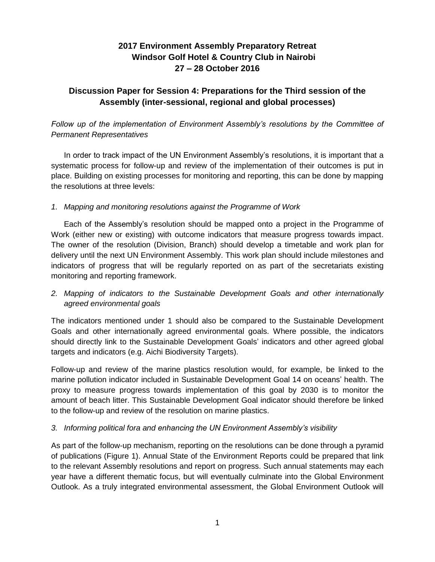# **2017 Environment Assembly Preparatory Retreat Windsor Golf Hotel & Country Club in Nairobi 27 – 28 October 2016**

# **Discussion Paper for Session 4: Preparations for the Third session of the Assembly (inter-sessional, regional and global processes)**

*Follow up of the implementation of Environment Assembly's resolutions by the Committee of Permanent Representatives*

In order to track impact of the UN Environment Assembly's resolutions, it is important that a systematic process for follow-up and review of the implementation of their outcomes is put in place. Building on existing processes for monitoring and reporting, this can be done by mapping the resolutions at three levels:

#### *1. Mapping and monitoring resolutions against the Programme of Work*

Each of the Assembly's resolution should be mapped onto a project in the Programme of Work (either new or existing) with outcome indicators that measure progress towards impact. The owner of the resolution (Division, Branch) should develop a timetable and work plan for delivery until the next UN Environment Assembly. This work plan should include milestones and indicators of progress that will be regularly reported on as part of the secretariats existing monitoring and reporting framework.

### *2. Mapping of indicators to the Sustainable Development Goals and other internationally agreed environmental goals*

The indicators mentioned under 1 should also be compared to the Sustainable Development Goals and other internationally agreed environmental goals. Where possible, the indicators should directly link to the Sustainable Development Goals' indicators and other agreed global targets and indicators (e.g. Aichi Biodiversity Targets).

Follow-up and review of the marine plastics resolution would, for example, be linked to the marine pollution indicator included in Sustainable Development Goal 14 on oceans' health. The proxy to measure progress towards implementation of this goal by 2030 is to monitor the amount of beach litter. This Sustainable Development Goal indicator should therefore be linked to the follow-up and review of the resolution on marine plastics.

#### *3. Informing political fora and enhancing the UN Environment Assembly's visibility*

As part of the follow-up mechanism, reporting on the resolutions can be done through a pyramid of publications (Figure 1). Annual State of the Environment Reports could be prepared that link to the relevant Assembly resolutions and report on progress. Such annual statements may each year have a different thematic focus, but will eventually culminate into the Global Environment Outlook. As a truly integrated environmental assessment, the Global Environment Outlook will